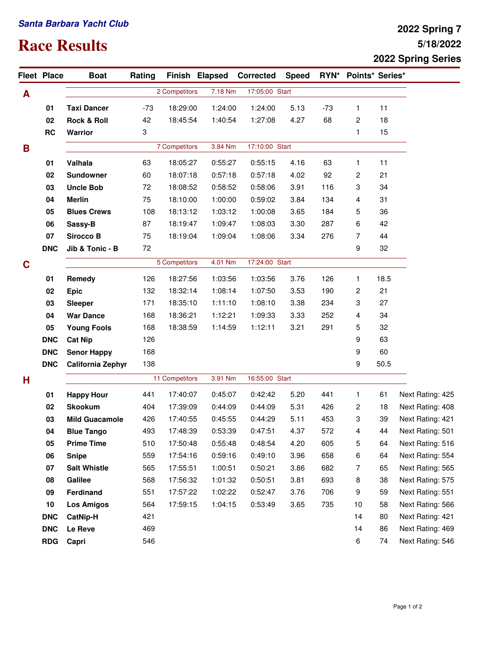## **Santa Barbara Yacht Club**

## **Race Results**

## **5/18/2022 2022 Spring 7 2022 Spring Series**

|   | Fleet Place | <b>Boat</b>              | Rating |                | Finish Elapsed | <b>Corrected</b>          | <b>Speed</b> |       | RYN* Points* Series* |      |                  |
|---|-------------|--------------------------|--------|----------------|----------------|---------------------------|--------------|-------|----------------------|------|------------------|
| A |             |                          |        | 2 Competitors  | 7.18 Nm        | 17:05:00 Start            |              |       |                      |      |                  |
|   | 01          | <b>Taxi Dancer</b>       | $-73$  | 18:29:00       | 1:24:00        | 1:24:00                   | 5.13         | $-73$ | 1                    | 11   |                  |
|   | 02          | <b>Rock &amp; Roll</b>   | 42     | 18:45:54       | 1:40:54        | 1:27:08                   | 4.27         | 68    | 2                    | 18   |                  |
|   | RC          | <b>Warrior</b>           | 3      |                |                |                           |              |       | 1                    | 15   |                  |
| B |             |                          |        | 7 Competitors  | 3.84 Nm        | 17:10:00 Start            |              |       |                      |      |                  |
|   | 01          | Valhala                  | 63     | 18:05:27       | 0:55:27        | 0:55:15                   | 4.16         | 63    | 1                    | 11   |                  |
|   | 02          | <b>Sundowner</b>         | 60     | 18:07:18       | 0:57:18        | 0:57:18                   | 4.02         | 92    | $\overline{c}$       | 21   |                  |
|   | 03          | <b>Uncle Bob</b>         | 72     | 18:08:52       | 0:58:52        | 0:58:06                   | 3.91         | 116   | 3                    | 34   |                  |
|   | 04          | <b>Merlin</b>            | 75     | 18:10:00       | 1:00:00        | 0:59:02                   | 3.84         | 134   | 4                    | 31   |                  |
|   | 05          | <b>Blues Crews</b>       | 108    | 18:13:12       | 1:03:12        | 1:00:08                   | 3.65         | 184   | 5                    | 36   |                  |
|   | 06          | Sassy-B                  | 87     | 18:19:47       | 1:09:47        | 1:08:03                   | 3.30         | 287   | 6                    | 42   |                  |
|   | 07          | Sirocco B                | 75     | 18:19:04       | 1:09:04        | 1:08:06                   | 3.34         | 276   | 7                    | 44   |                  |
|   | <b>DNC</b>  | Jib & Tonic - B          | 72     |                |                |                           |              |       | 9                    | 32   |                  |
| C |             |                          |        | 5 Competitors  | 4.01 Nm        | 17:24:00 Start            |              |       |                      |      |                  |
|   | 01          | Remedy                   | 126    | 18:27:56       | 1:03:56        | 1:03:56                   | 3.76         | 126   | 1                    | 18.5 |                  |
|   | 02          | <b>Epic</b>              | 132    | 18:32:14       | 1:08:14        | 1:07:50                   | 3.53         | 190   | 2                    | 21   |                  |
|   | 03          | Sleeper                  | 171    | 18:35:10       | 1:11:10        | 1:08:10                   | 3.38         | 234   | 3                    | 27   |                  |
|   | 04          | <b>War Dance</b>         | 168    | 18:36:21       | 1:12:21        | 1:09:33                   | 3.33         | 252   | 4                    | 34   |                  |
|   | 05          | <b>Young Fools</b>       | 168    | 18:38:59       | 1:14:59        | 1:12:11                   | 3.21         | 291   | 5                    | 32   |                  |
|   | <b>DNC</b>  | <b>Cat Nip</b>           | 126    |                |                |                           |              |       | 9                    | 63   |                  |
|   | <b>DNC</b>  | <b>Senor Happy</b>       | 168    |                |                |                           |              |       | 9                    | 60   |                  |
|   | <b>DNC</b>  | <b>California Zephyr</b> | 138    |                |                |                           |              |       | 9                    | 50.5 |                  |
| н |             |                          |        | 11 Competitors |                | 16:55:00 Start<br>3.91 Nm |              |       |                      |      |                  |
|   | 01          | <b>Happy Hour</b>        | 441    | 17:40:07       | 0:45:07        | 0:42:42                   | 5.20         | 441   | $\mathbf{1}$         | 61   | Next Rating: 425 |
|   | 02          | <b>Skookum</b>           | 404    | 17:39:09       | 0:44:09        | 0:44:09                   | 5.31         | 426   | 2                    | 18   | Next Rating: 408 |
|   | 03          | <b>Mild Guacamole</b>    | 426    | 17:40:55       | 0:45:55        | 0:44:29                   | 5.11         | 453   | 3                    | 39   | Next Rating: 421 |
|   | 04          | <b>Blue Tango</b>        | 493    | 17:48:39       | 0:53:39        | 0:47:51                   | 4.37         | 572   | 4                    | 44   | Next Rating: 501 |
|   | 05          | <b>Prime Time</b>        | 510    | 17:50:48       | 0:55:48        | 0:48:54                   | 4.20         | 605   | 5                    | 64   | Next Rating: 516 |
|   | 06          | <b>Snipe</b>             | 559    | 17:54:16       | 0:59:16        | 0:49:10                   | 3.96         | 658   | 6                    | 64   | Next Rating: 554 |
|   | 07          | <b>Salt Whistle</b>      | 565    | 17:55:51       | 1:00:51        | 0:50:21                   | 3.86         | 682   | 7                    | 65   | Next Rating: 565 |
|   | 08          | Galilee                  | 568    | 17:56:32       | 1:01:32        | 0:50:51                   | 3.81         | 693   | 8                    | 38   | Next Rating: 575 |
|   | 09          | Ferdinand                | 551    | 17:57:22       | 1:02:22        | 0:52:47                   | 3.76         | 706   | 9                    | 59   | Next Rating: 551 |
|   | 10          | <b>Los Amigos</b>        | 564    | 17:59:15       | 1:04:15        | 0:53:49                   | 3.65         | 735   | 10                   | 58   | Next Rating: 566 |
|   | <b>DNC</b>  | CatNip-H                 | 421    |                |                |                           |              |       | 14                   | 80   | Next Rating: 421 |
|   | <b>DNC</b>  | Le Reve                  | 469    |                |                |                           |              |       | 14                   | 86   | Next Rating: 469 |
|   | <b>RDG</b>  | Capri                    | 546    |                |                |                           |              |       | 6                    | 74   | Next Rating: 546 |